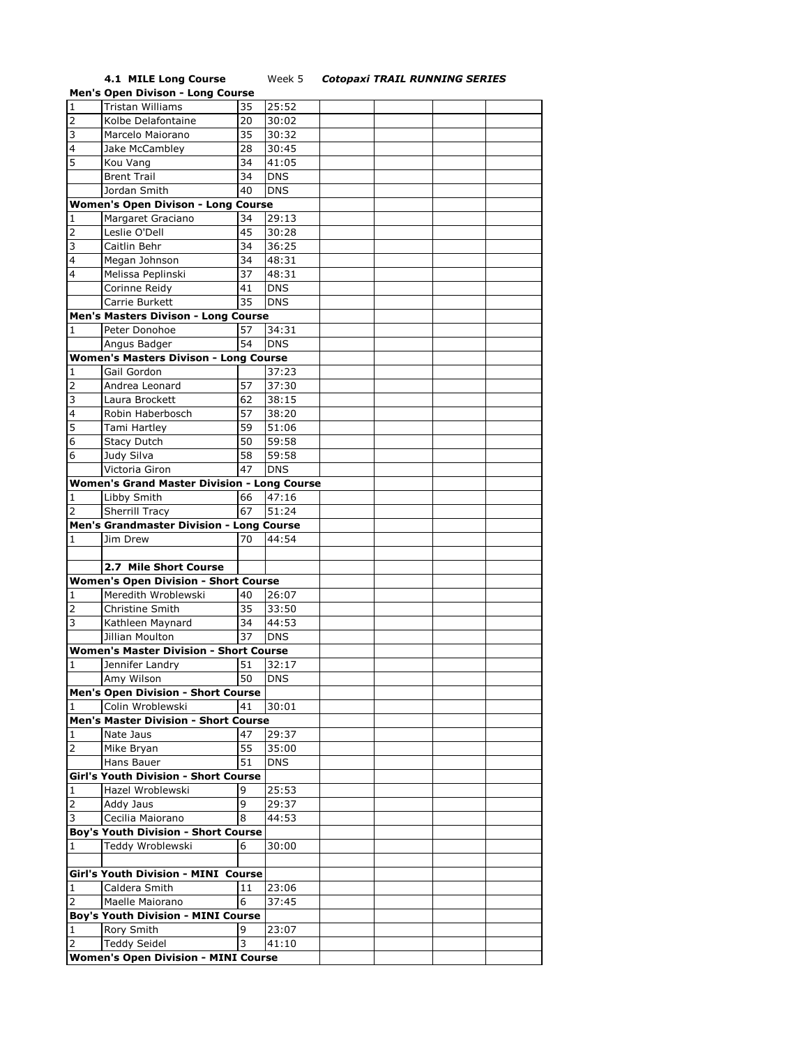## **4.1 MILE Long Course** Week 5 *Cotopaxi TRAIL RUNNING SERIES*

|                     | <b>Men's Open Divison - Long Course</b>         |                 |            |  |  |
|---------------------|-------------------------------------------------|-----------------|------------|--|--|
| $\overline{1}$      | <b>Tristan Williams</b>                         | 35              | 25:52      |  |  |
| $\overline{2}$      | Kolbe Delafontaine                              | 20              | 30:02      |  |  |
| 3                   | Marcelo Maiorano                                | 35              | 30:32      |  |  |
| $\overline{4}$      | Jake McCambley                                  | 28              | 30:45      |  |  |
| 5                   |                                                 | 34              |            |  |  |
|                     | Kou Vang                                        |                 | 41:05      |  |  |
|                     | <b>Brent Trail</b>                              | 34              | <b>DNS</b> |  |  |
|                     | Jordan Smith                                    | 40              | <b>DNS</b> |  |  |
|                     | <b>Women's Open Divison - Long Course</b>       |                 |            |  |  |
| 1                   | Margaret Graciano                               | 34              | 29:13      |  |  |
| 2                   | Leslie O'Dell                                   | 45              | 30:28      |  |  |
| 3                   | Caitlin Behr                                    | 34              | 36:25      |  |  |
| $\overline{4}$      | Megan Johnson                                   | 34              | 48:31      |  |  |
| $\overline{4}$      | Melissa Peplinski                               | 37              | 48:31      |  |  |
|                     | Corinne Reidy                                   | 41              | <b>DNS</b> |  |  |
|                     | Carrie Burkett                                  | 35              | <b>DNS</b> |  |  |
|                     |                                                 |                 |            |  |  |
|                     | Men's Masters Divison - Long Course             |                 |            |  |  |
| 1                   | Peter Donohoe                                   | 57              | 34:31      |  |  |
|                     | Angus Badger                                    | 54              | <b>DNS</b> |  |  |
|                     | <b>Women's Masters Divison - Long Course</b>    |                 |            |  |  |
| 1                   | Gail Gordon                                     |                 | 37:23      |  |  |
| 2                   | Andrea Leonard                                  | 57              | 37:30      |  |  |
| 3                   | Laura Brockett                                  | 62              | 38:15      |  |  |
| 4                   | Robin Haberbosch                                | 57              | 38:20      |  |  |
| 5                   | Tami Hartley                                    | 59              | 51:06      |  |  |
| 6                   | <b>Stacy Dutch</b>                              | 50              | 59:58      |  |  |
| 6                   | Judy Silva                                      | 58              | 59:58      |  |  |
|                     | Victoria Giron                                  | 47              | <b>DNS</b> |  |  |
|                     | Women's Grand Master Division - Long Course     |                 |            |  |  |
| 1                   | Libby Smith                                     | 66              | 47:16      |  |  |
| $\overline{2}$      | Sherrill Tracy                                  | 67              | 51:24      |  |  |
|                     |                                                 |                 |            |  |  |
|                     | <b>Men's Grandmaster Division - Long Course</b> |                 |            |  |  |
| 1                   | Jim Drew                                        | 70              | 44:54      |  |  |
|                     |                                                 |                 |            |  |  |
|                     | 2.7 Mile Short Course                           |                 |            |  |  |
|                     | <b>Women's Open Division - Short Course</b>     |                 |            |  |  |
| 1                   | Meredith Wroblewski                             | 40              | 26:07      |  |  |
| $\overline{2}$      | Christine Smith                                 | 35              | 33:50      |  |  |
| $\overline{3}$      | Kathleen Maynard                                | 34              | 44:53      |  |  |
|                     | Jillian Moulton                                 | 37              | <b>DNS</b> |  |  |
|                     | <b>Women's Master Division - Short Course</b>   |                 |            |  |  |
| 1                   | Jennifer Landry                                 | 51              | 32:17      |  |  |
|                     | Amy Wilson                                      | $\overline{50}$ | <b>DNS</b> |  |  |
|                     | <b>Men's Open Division - Short Course</b>       |                 |            |  |  |
| 1                   | Colin Wroblewski                                | 41              | 30:01      |  |  |
|                     | <b>Men's Master Division - Short Course</b>     |                 |            |  |  |
|                     |                                                 |                 |            |  |  |
| 1                   | Nate Jaus                                       | 47              | 29:37      |  |  |
| 2                   | Mike Bryan                                      | 55              | 35:00      |  |  |
|                     | Hans Bauer                                      | 51              | DNS        |  |  |
|                     | Girl's Youth Division - Short Course            |                 |            |  |  |
| $\mathbf 1$         | Hazel Wroblewski                                | 9               | 25:53      |  |  |
| $\mathsf{2}\,$      | Addy Jaus                                       | 9               | 29:37      |  |  |
| 3                   | Cecilia Maiorano                                | 8               | 44:53      |  |  |
|                     | <b>Boy's Youth Division - Short Course</b>      |                 |            |  |  |
| 1                   | Teddy Wroblewski                                | 6               | 30:00      |  |  |
|                     |                                                 |                 |            |  |  |
|                     | Girl's Youth Division - MINI Course             |                 |            |  |  |
| 1                   | Caldera Smith                                   | 11              | 23:06      |  |  |
| $\overline{2}$      | Maelle Maiorano                                 | 6               | 37:45      |  |  |
|                     | <b>Boy's Youth Division - MINI Course</b>       |                 |            |  |  |
|                     | <b>Rory Smith</b>                               | 9               | 23:07      |  |  |
| 1<br>$\overline{2}$ | <b>Teddy Seidel</b>                             | 3               | 41:10      |  |  |
|                     |                                                 |                 |            |  |  |
|                     | <b>Women's Open Division - MINI Course</b>      |                 |            |  |  |